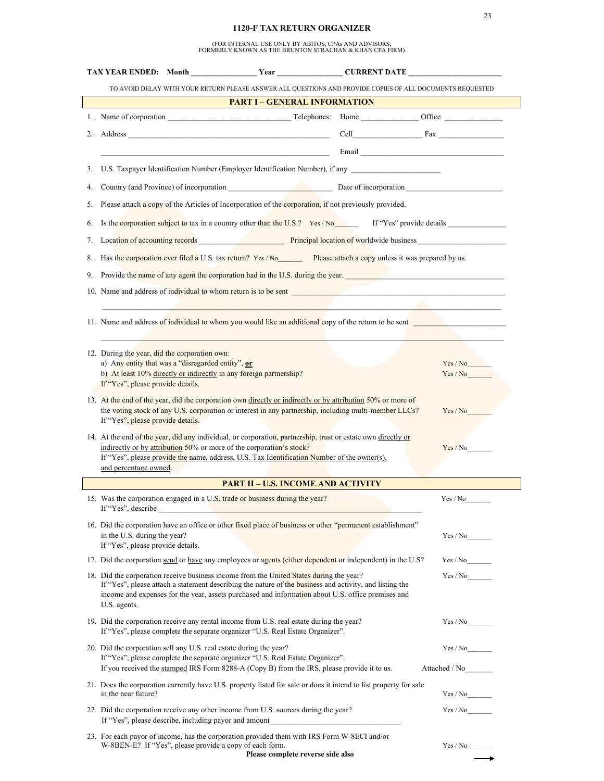## **1120-F TAX RETURN ORGANIZER**

(FOR INTERNAL USE ONLY BY ABITOS, CPAs AND ADVISORS, FORMERLY KNOWN AS THE BRUNTON STRACHAN & KHAN CPA FIRM)

|    | TAX YEAR ENDED: Month ________________Year _______________CURRENT DATE _____________________________                                                                                                                                 |               |
|----|--------------------------------------------------------------------------------------------------------------------------------------------------------------------------------------------------------------------------------------|---------------|
|    | TO AVOID DELAY WITH YOUR RETURN PLEASE ANSWER ALL QUESTIONS AND PROVIDE COPIES OF ALL DOCUMENTS REQUESTED                                                                                                                            |               |
|    | <b>PART I - GENERAL INFORMATION</b>                                                                                                                                                                                                  |               |
|    | 1. Name of corporation                                                                                                                                                                                                               |               |
| 2. |                                                                                                                                                                                                                                      |               |
|    | <u>Email and the contract of the contract of the contract of the contract of the contract of the contract of the contract of the contract of the contract of the contract of the contract of the contract of the contract of the</u> |               |
| 3. | U.S. Taxpayer Identification Number (Employer Identification Number), if any                                                                                                                                                         |               |
| 4. |                                                                                                                                                                                                                                      |               |
| 5. | Please attach a copy of the Articles of Incorporation of the corporation, if not previously provided.                                                                                                                                |               |
| 6. | Is the corporation subject to tax in a country other than the U.S.? Yes / Now If "Yes" provide details                                                                                                                               |               |
| 7. | Location of accounting records Principal location of worldwide business                                                                                                                                                              |               |
| 8. | Has the corporation ever filed a U.S. tax return? Yes / No Please attach a copy unless it was prepared by us.                                                                                                                        |               |
| 9. | Provide the name of any agent the corporation had in the U.S. during the year.                                                                                                                                                       |               |
|    | 10. Name and address of individual to whom return is to be sent                                                                                                                                                                      |               |
|    | the contract of the contract of the contract of the contract of the contract of                                                                                                                                                      |               |
|    | 11. Name and address of individual to whom you would like an additional copy of the return to be sent                                                                                                                                |               |
|    |                                                                                                                                                                                                                                      |               |
|    | 12. During the year, did the corporation own:<br>a) Any entity that was a "disregarded entity", or                                                                                                                                   | Yes / No      |
|    | b) At least 10% directly or indirectly in any foreign partnership?<br>If "Yes", please provide details.                                                                                                                              | Yes / No      |
|    | 13. At the end of the year, did the corporation own directly or indirectly or by attribution 50% or more of                                                                                                                          |               |
|    | the voting stock of any U.S. corporation or interest in any partnership, including multi-member LLCs?<br>If "Yes", please provide details.                                                                                           | Yes / No      |
|    | 14. At the end of the year, did any individual, or corporation, partnership, trust or estate own directly or                                                                                                                         |               |
|    | indirectly or by attribution 50% or more of the corporation's stock?<br>If "Yes", please provide the name, address, U.S. Tax Identification Number of the owner(s),                                                                  | Yes / No      |
|    | and percentage owned.                                                                                                                                                                                                                |               |
|    | <b>PART II – U.S. INCOME AND ACTIVITY</b>                                                                                                                                                                                            |               |
|    | 15. Was the corporation engaged in a U.S. trade or business during the year?<br>If "Yes", describe                                                                                                                                   | Yes / No      |
|    | 16. Did the corporation have an office or other fixed place of business or other "permanent establishment"                                                                                                                           |               |
|    | in the U.S. during the year?<br>If "Yes", please provide details.                                                                                                                                                                    | Yes / No      |
|    | 17. Did the corporation send or have any employees or agents (either dependent or independent) in the U.S?                                                                                                                           |               |
|    | 18. Did the corporation receive business income from the United States during the year?                                                                                                                                              |               |
|    | If "Yes", please attach a statement describing the nature of the business and activity, and listing the<br>income and expenses for the year, assets purchased and information about U.S. office premises and                         |               |
|    | U.S. agents.                                                                                                                                                                                                                         |               |
|    | 19. Did the corporation receive any rental income from U.S. real estate during the year?<br>If "Yes", please complete the separate organizer "U.S. Real Estate Organizer".                                                           | Yes / No      |
|    | 20. Did the corporation sell any U.S. real estate during the year?                                                                                                                                                                   | Yes / No      |
|    | If "Yes", please complete the separate organizer "U.S. Real Estate Organizer".<br>If you received the stamped IRS Form 8288-A (Copy B) from the IRS, please provide it to us.                                                        | Attached / No |
|    | 21. Does the corporation currently have U.S. property listed for sale or does it intend to list property for sale<br>in the near future?                                                                                             |               |
|    | 22. Did the corporation receive any other income from U.S. sources during the year?<br>If "Yes", please describe, including payor and amount                                                                                         |               |
|    | 23. For each payor of income, has the corporation provided them with IRS Form W-8ECI and/or                                                                                                                                          |               |
|    | W-8BEN-E? If "Yes", please provide a copy of each form.<br>Please complete reverse side also                                                                                                                                         | Yes / No      |